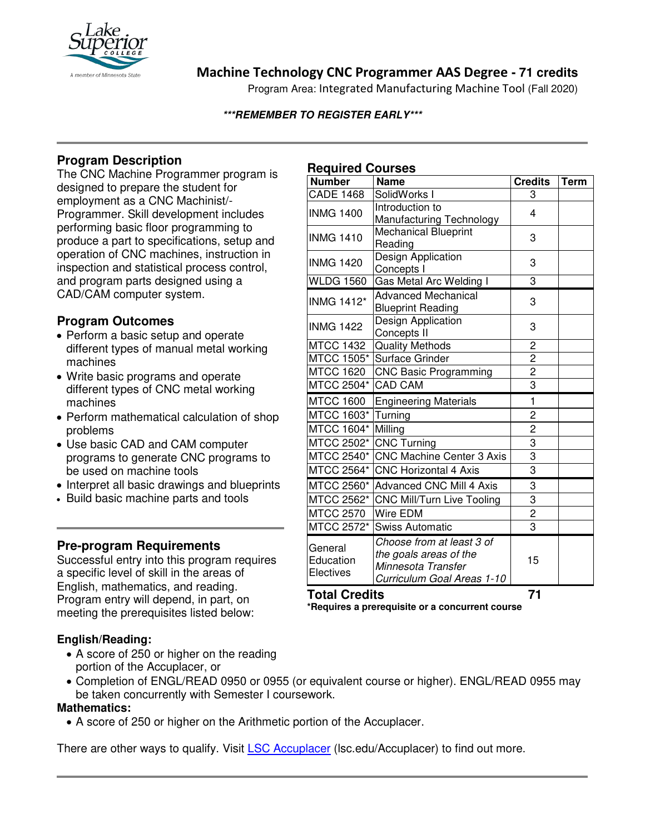

# **Machine Technology CNC Programmer AAS Degree - 71 credits**

Program Area: Integrated Manufacturing Machine Tool (Fall 2020)

#### **\*\*\*REMEMBER TO REGISTER EARLY\*\*\***

# **Program Description**

The CNC Machine Programmer program is designed to prepare the student for employment as a CNC Machinist/- Programmer. Skill development includes performing basic floor programming to produce a part to specifications, setup and operation of CNC machines, instruction in inspection and statistical process control, and program parts designed using a CAD/CAM computer system.

## **Program Outcomes**

- Perform a basic setup and operate different types of manual metal working machines
- Write basic programs and operate different types of CNC metal working machines
- Perform mathematical calculation of shop problems
- Use basic CAD and CAM computer programs to generate CNC programs to be used on machine tools
- Interpret all basic drawings and blueprints
- Build basic machine parts and tools

## **Pre-program Requirements**

Successful entry into this program requires a specific level of skill in the areas of English, mathematics, and reading. Program entry will depend, in part, on meeting the prerequisites listed below:

### **English/Reading:**

- A score of 250 or higher on the reading portion of the Accuplacer, or
- Completion of ENGL/READ 0950 or 0955 (or equivalent course or higher). ENGL/READ 0955 may be taken concurrently with Semester I coursework.

#### **Mathematics:**

• A score of 250 or higher on the Arithmetic portion of the Accuplacer.

There are other ways to qualify. Visit [LSC Accuplacer](https://www.lsc.edu/accuplacer/) (lsc.edu/Accuplacer) to find out more.

## **Required Courses**

| .                                 |                                                                                                         |                         |             |
|-----------------------------------|---------------------------------------------------------------------------------------------------------|-------------------------|-------------|
| <b>Number</b>                     | <b>Name</b>                                                                                             | <b>Credits</b>          | <b>Term</b> |
| <b>CADE 1468</b>                  | SolidWorks I                                                                                            | 3                       |             |
| <b>INMG 1400</b>                  | Introduction to<br>Manufacturing Technology                                                             | 4                       |             |
| <b>INMG 1410</b>                  | <b>Mechanical Blueprint</b><br>Reading                                                                  | 3                       |             |
| <b>INMG 1420</b>                  | Design Application<br>Concepts I                                                                        | 3                       |             |
| <b>WLDG 1560</b>                  | Gas Metal Arc Welding I                                                                                 | 3                       |             |
| <b>INMG 1412*</b>                 | <b>Advanced Mechanical</b><br><b>Blueprint Reading</b>                                                  | 3                       |             |
| <b>INMG 1422</b>                  | Design Application<br>Concepts II                                                                       | 3                       |             |
| <b>MTCC 1432</b>                  | <b>Quality Methods</b>                                                                                  | $\overline{2}$          |             |
| <b>MTCC 1505*</b>                 | Surface Grinder                                                                                         | $\overline{2}$          |             |
| <b>MTCC 1620</b>                  | <b>CNC Basic Programming</b>                                                                            | $\overline{\mathbf{c}}$ |             |
| MTCC 2504*                        | <b>CAD CAM</b>                                                                                          | 3                       |             |
| <b>MTCC 1600</b>                  | <b>Engineering Materials</b>                                                                            | $\mathbf{1}$            |             |
| MTCC 1603*                        | Turning                                                                                                 | $\overline{\mathbf{c}}$ |             |
| MTCC 1604*                        | Milling                                                                                                 | $\overline{2}$          |             |
| MTCC 2502*                        | <b>CNC Turning</b>                                                                                      | 3                       |             |
| MTCC 2540*                        | <b>CNC Machine Center 3 Axis</b>                                                                        | $\overline{3}$          |             |
| MTCC 2564*                        | <b>CNC Horizontal 4 Axis</b>                                                                            | 3                       |             |
| MTCC 2560*                        | <b>Advanced CNC Mill 4 Axis</b>                                                                         | $\overline{3}$          |             |
| MTCC 2562*                        | CNC Mill/Turn Live Tooling                                                                              | $\frac{3}{2}$           |             |
| MTCC 2570                         | Wire EDM                                                                                                |                         |             |
| MTCC 2572*                        | <b>Swiss Automatic</b>                                                                                  | 3                       |             |
| General<br>Education<br>Electives | Choose from at least 3 of<br>the goals areas of the<br>Minnesota Transfer<br>Curriculum Goal Areas 1-10 | 15                      |             |

**Total Credits 71 \*Requires a prerequisite or a concurrent course**